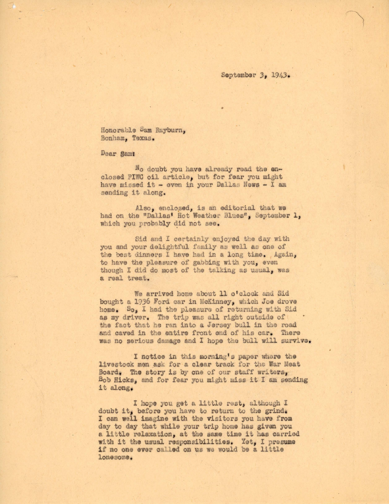September 3, 1943.

Honorable Sam Rayburn, Bonham, Texas.

Dear Sam:

No doubt you have already read the enclosed PIWC oil article, but for fear you might have missed it - even in your Dallas News - I am sending it along.

Also, enclosed, is an editorial that we had on the "Dallas' Hot Weather Blues", September 1, which you probably did not see.

Sid and I certainly enjoyed the day with you and your delightful family as well as one of the best dinners I have had in a long time. Again, to have the pleasure of gabbing with you, even though I did do most of the talking as usual, was a real treat.

We arrived home about 11 o'clock and Sid bought a 1936 Ford car in McKinney, which Joe drove home. So, I had the pleasure of returning with Sid as my driver. The trip was all right outside of the fact that he ran into a Jersey bull in the road and caved in the entire front end of his car. There was no serious damage and I hope the bull will survive.

I notice in this morning's paper where the livestock men ask for a clear track for the War Meat Board. The story is by one of our staff writers, Bob Hicks, and for fear you might miss it I am sending it along.

I hope you get a little rest, although I doubt it, before you have to return to the grind. I can well imagine with the visitors you have from day to day that while your trip home has given you a little relaxation, at the same time it has carried with it the usual responsibilities. Yet. I presume if no one ever called on us we would be a little lonesone.